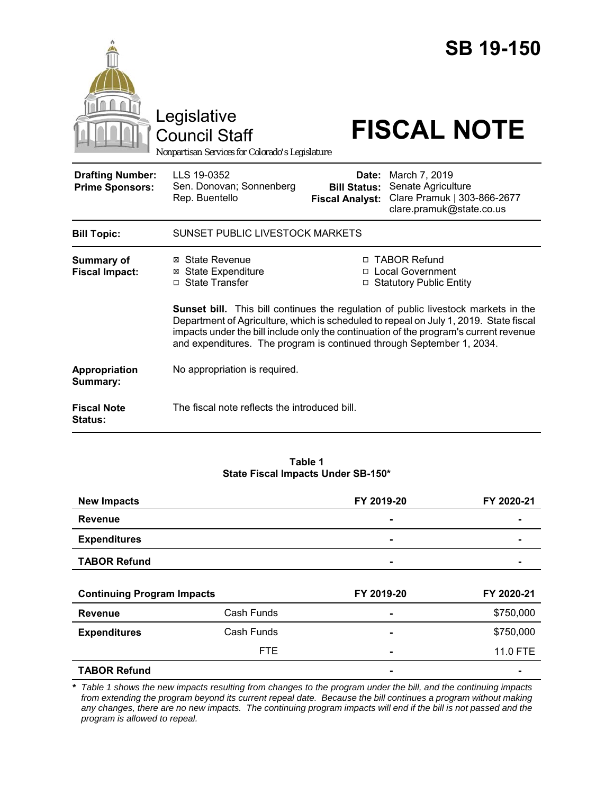|                                                   | Legislative<br><b>Council Staff</b><br>Nonpartisan Services for Colorado's Legislature                                                                                                                                                                  |                                                        | <b>SB 19-150</b><br><b>FISCAL NOTE</b>                                                                                                                         |  |
|---------------------------------------------------|---------------------------------------------------------------------------------------------------------------------------------------------------------------------------------------------------------------------------------------------------------|--------------------------------------------------------|----------------------------------------------------------------------------------------------------------------------------------------------------------------|--|
| <b>Drafting Number:</b><br><b>Prime Sponsors:</b> | LLS 19-0352<br>Sen. Donovan; Sonnenberg<br>Rep. Buentello                                                                                                                                                                                               | Date:<br><b>Bill Status:</b><br><b>Fiscal Analyst:</b> | March 7, 2019<br>Senate Agriculture<br>Clare Pramuk   303-866-2677<br>clare.pramuk@state.co.us                                                                 |  |
| <b>Bill Topic:</b>                                | SUNSET PUBLIC LIVESTOCK MARKETS                                                                                                                                                                                                                         |                                                        |                                                                                                                                                                |  |
| Summary of<br><b>Fiscal Impact:</b>               | ⊠ State Revenue<br><b>⊠ State Expenditure</b><br>□ State Transfer                                                                                                                                                                                       |                                                        | □ TABOR Refund<br>□ Local Government<br>□ Statutory Public Entity<br><b>Sunset bill.</b> This bill continues the regulation of public livestock markets in the |  |
|                                                   | Department of Agriculture, which is scheduled to repeal on July 1, 2019. State fiscal<br>impacts under the bill include only the continuation of the program's current revenue<br>and expenditures. The program is continued through September 1, 2034. |                                                        |                                                                                                                                                                |  |
| Appropriation<br>Summary:                         | No appropriation is required.                                                                                                                                                                                                                           |                                                        |                                                                                                                                                                |  |
| <b>Fiscal Note</b><br><b>Status:</b>              | The fiscal note reflects the introduced bill.                                                                                                                                                                                                           |                                                        |                                                                                                                                                                |  |

#### **Table 1 State Fiscal Impacts Under SB-150\***

| <b>New Impacts</b>                         |            | FY 2019-20     | FY 2020-21 |
|--------------------------------------------|------------|----------------|------------|
| <b>Revenue</b>                             |            | $\blacksquare$ | -          |
| <b>Expenditures</b><br><b>TABOR Refund</b> |            | ۰              |            |
|                                            |            |                |            |
|                                            |            |                |            |
|                                            |            |                |            |
| <b>Continuing Program Impacts</b>          |            | FY 2019-20     | FY 2020-21 |
| <b>Revenue</b>                             | Cash Funds |                | \$750,000  |
| <b>Expenditures</b>                        | Cash Funds |                | \$750,000  |
|                                            | <b>FTE</b> |                | 11.0 FTE   |

*\* Table 1 shows the new impacts resulting from changes to the program under the bill, and the continuing impacts from extending the program beyond its current repeal date. Because the bill continues a program without making any changes, there are no new impacts. The continuing program impacts will end if the bill is not passed and the program is allowed to repeal.*